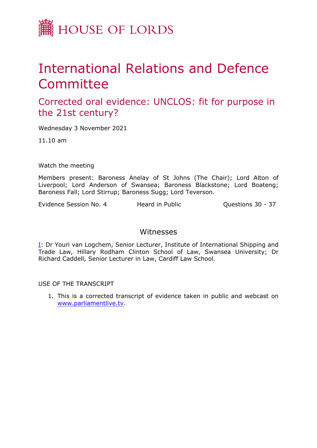

## International Relations and Defence **Committee**

Corrected oral evidence: UNCLOS: fit for purpose in the 21st century?

Wednesday 3 November 2021

11.10 am

Watch the meeting

Members present: Baroness Anelay of St Johns (The Chair); Lord Alton of Liverpool; Lord Anderson of Swansea; Baroness Blackstone; Lord Boateng; Baroness Fall; Lord Stirrup; Baroness Sugg; Lord Teverson.

Evidence Session No. 4 Heard in Public **Questions 30 - 37** 

## Witnesses

[I:](#page-1-0) Dr Youri van Logchem, Senior Lecturer, Institute of International Shipping and Trade Law, Hillary Rodham Clinton School of Law, Swansea University; Dr Richard Caddell, Senior Lecturer in Law, Cardiff Law School.

USE OF THE TRANSCRIPT

1. This is a corrected transcript of evidence taken in public and webcast on [www.parliamentlive.tv](http://www.parliamentlive.tv/).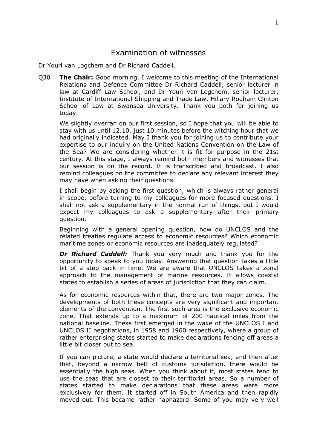## <span id="page-1-0"></span>Examination of witnesses

Dr Youri van Logchem and Dr Richard Caddell.

Q30 **The Chair:** Good morning. I welcome to this meeting of the International Relations and Defence Committee Dr Richard Caddell, senior lecturer in law at Cardiff Law School, and Dr Youri van Logchem, senior lecturer, Institute of International Shipping and Trade Law, Hillary Rodham Clinton School of Law at Swansea University. Thank you both for joining us today.

We slightly overran on our first session, so I hope that you will be able to stay with us until 12.10, just 10 minutes before the witching hour that we had originally indicated. May I thank you for joining us to contribute your expertise to our inquiry on the United Nations Convention on the Law of the Sea? We are considering whether it is fit for purpose in the 21st century. At this stage, I always remind both members and witnesses that our session is on the record. It is transcribed and broadcast. I also remind colleagues on the committee to declare any relevant interest they may have when asking their questions.

I shall begin by asking the first question, which is always rather general in scope, before turning to my colleagues for more focused questions. I shall not ask a supplementary in the normal run of things, but I would expect my colleagues to ask a supplementary after their primary question.

Beginning with a general opening question, how do UNCLOS and the related treaties regulate access to economic resources? Which economic maritime zones or economic resources are inadequately regulated?

*Dr Richard Caddell:* Thank you very much and thank you for the opportunity to speak to you today. Answering that question takes a little bit of a step back in time. We are aware that UNCLOS takes a zonal approach to the management of marine resources. It allows coastal states to establish a series of areas of jurisdiction that they can claim.

As for economic resources within that, there are two major zones. The developments of both these concepts are very significant and important elements of the convention. The first such area is the exclusive economic zone. That extends up to a maximum of 200 nautical miles from the national baseline. These first emerged in the wake of the UNCLOS I and UNCLOS II negotiations, in 1958 and 1960 respectively, where a group of rather enterprising states started to make declarations fencing off areas a little bit closer out to sea.

If you can picture, a state would declare a territorial sea, and then after that, beyond a narrow belt of customs jurisdiction, there would be essentially the high seas. When you think about it, most states tend to use the seas that are closest to their territorial areas. So a number of states started to make declarations that these areas were more exclusively for them. It started off in South America and then rapidly moved out. This became rather haphazard. Some of you may very well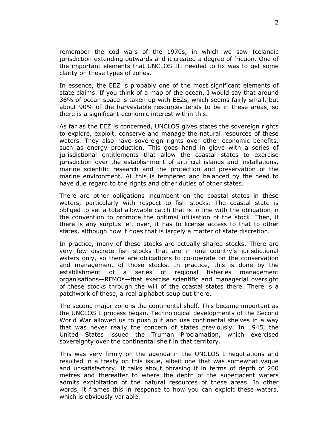remember the cod wars of the 1970s, in which we saw Icelandic jurisdiction extending outwards and it created a degree of friction. One of the important elements that UNCLOS III needed to fix was to get some clarity on these types of zones.

In essence, the EEZ is probably one of the most significant elements of state claims. If you think of a map of the ocean, I would say that around 36% of ocean space is taken up with EEZs, which seems fairly small, but about 90% of the harvestable resources tends to be in these areas, so there is a significant economic interest within this.

As far as the EEZ is concerned, UNCLOS gives states the sovereign rights to explore, exploit, conserve and manage the natural resources of these waters. They also have sovereign rights over other economic benefits, such as energy production. This goes hand in glove with a series of jurisdictional entitlements that allow the coastal states to exercise jurisdiction over the establishment of artificial islands and installations, marine scientific research and the protection and preservation of the marine environment. All this is tempered and balanced by the need to have due regard to the rights and other duties of other states.

There are other obligations incumbent on the coastal states in these waters, particularly with respect to fish stocks. The coastal state is obliged to set a total allowable catch that is in line with the obligation in the convention to promote the optimal utilisation of the stock. Then, if there is any surplus left over, it has to license access to that to other states, although how it does that is largely a matter of state discretion.

In practice, many of these stocks are actually shared stocks. There are very few discrete fish stocks that are in one country's jurisdictional waters only, so there are obligations to co-operate on the conservation and management of those stocks. In practice, this is done by the establishment of a series of regional fisheries management organisations—RFMOs—that exercise scientific and managerial oversight of these stocks through the will of the coastal states there. There is a patchwork of these, a real alphabet soup out there.

The second major zone is the continental shelf. This became important as the UNCLOS I process began. Technological developments of the Second World War allowed us to push out and use continental shelves in a way that was never really the concern of states previously. In 1945, the United States issued the Truman Proclamation, which exercised sovereignty over the continental shelf in that territory.

This was very firmly on the agenda in the UNCLOS I negotiations and resulted in a treaty on this issue, albeit one that was somewhat vague and unsatisfactory. It talks about phrasing it in terms of depth of 200 metres and thereafter to where the depth of the superjacent waters admits exploitation of the natural resources of these areas. In other words, it frames this in response to how you can exploit these waters, which is obviously variable.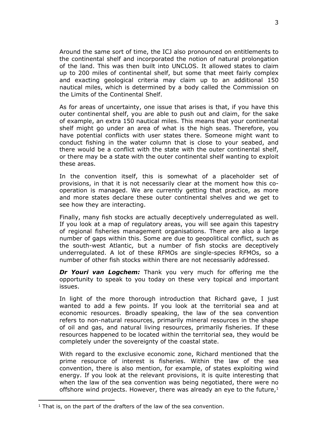Around the same sort of time, the ICJ also pronounced on entitlements to the continental shelf and incorporated the notion of natural prolongation of the land. This was then built into UNCLOS. It allowed states to claim up to 200 miles of continental shelf, but some that meet fairly complex and exacting geological criteria may claim up to an additional 150 nautical miles, which is determined by a body called the Commission on the Limits of the Continental Shelf.

As for areas of uncertainty, one issue that arises is that, if you have this outer continental shelf, you are able to push out and claim, for the sake of example, an extra 150 nautical miles. This means that your continental shelf might go under an area of what is the high seas. Therefore, you have potential conflicts with user states there. Someone might want to conduct fishing in the water column that is close to your seabed, and there would be a conflict with the state with the outer continental shelf, or there may be a state with the outer continental shelf wanting to exploit these areas.

In the convention itself, this is somewhat of a placeholder set of provisions, in that it is not necessarily clear at the moment how this cooperation is managed. We are currently getting that practice, as more and more states declare these outer continental shelves and we get to see how they are interacting.

Finally, many fish stocks are actually deceptively underregulated as well. If you look at a map of regulatory areas, you will see again this tapestry of regional fisheries management organisations. There are also a large number of gaps within this. Some are due to geopolitical conflict, such as the south-west Atlantic, but a number of fish stocks are deceptively underregulated. A lot of these RFMOs are single-species RFMOs, so a number of other fish stocks within there are not necessarily addressed.

*Dr Youri van Logchem:* Thank you very much for offering me the opportunity to speak to you today on these very topical and important issues.

In light of the more thorough introduction that Richard gave, I just wanted to add a few points. If you look at the territorial sea and at economic resources. Broadly speaking, the law of the sea convention refers to non-natural resources, primarily mineral resources in the shape of oil and gas, and natural living resources, primarily fisheries. If these resources happened to be located within the territorial sea, they would be completely under the sovereignty of the coastal state.

With regard to the exclusive economic zone, Richard mentioned that the prime resource of interest is fisheries. Within the law of the sea convention, there is also mention, for example, of states exploiting wind energy. If you look at the relevant provisions, it is quite interesting that when the law of the sea convention was being negotiated, there were no offshore wind projects. However, there was already an eye to the future, $1$ 

 $1$  That is, on the part of the drafters of the law of the sea convention.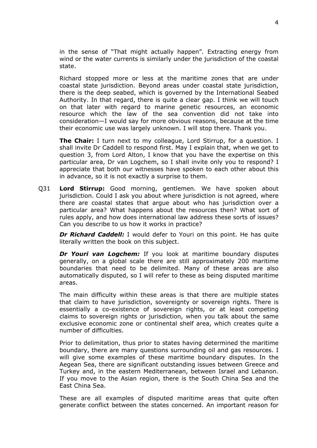in the sense of "That might actually happen". Extracting energy from wind or the water currents is similarly under the jurisdiction of the coastal state.

Richard stopped more or less at the maritime zones that are under coastal state jurisdiction. Beyond areas under coastal state jurisdiction, there is the deep seabed, which is governed by the International Seabed Authority. In that regard, there is quite a clear gap. I think we will touch on that later with regard to marine genetic resources, an economic resource which the law of the sea convention did not take into consideration—I would say for more obvious reasons, because at the time their economic use was largely unknown. I will stop there. Thank you.

**The Chair:** I turn next to my colleague, Lord Stirrup, for a question. I shall invite Dr Caddell to respond first. May I explain that, when we get to question 3, from Lord Alton, I know that you have the expertise on this particular area, Dr van Logchem, so I shall invite only you to respond? I appreciate that both our witnesses have spoken to each other about this in advance, so it is not exactly a surprise to them.

Q31 **Lord Stirrup:** Good morning, gentlemen. We have spoken about jurisdiction. Could I ask you about where jurisdiction is not agreed, where there are coastal states that argue about who has jurisdiction over a particular area? What happens about the resources then? What sort of rules apply, and how does international law address these sorts of issues? Can you describe to us how it works in practice?

*Dr Richard Caddell:* I would defer to Youri on this point. He has quite literally written the book on this subject.

*Dr Youri van Logchem:* If you look at maritime boundary disputes generally, on a global scale there are still approximately 200 maritime boundaries that need to be delimited. Many of these areas are also automatically disputed, so I will refer to these as being disputed maritime areas.

The main difficulty within these areas is that there are multiple states that claim to have jurisdiction, sovereignty or sovereign rights. There is essentially a co-existence of sovereign rights, or at least competing claims to sovereign rights or jurisdiction, when you talk about the same exclusive economic zone or continental shelf area, which creates quite a number of difficulties.

Prior to delimitation, thus prior to states having determined the maritime boundary, there are many questions surrounding oil and gas resources. I will give some examples of these maritime boundary disputes. In the Aegean Sea, there are significant outstanding issues between Greece and Turkey and, in the eastern Mediterranean, between Israel and Lebanon. If you move to the Asian region, there is the South China Sea and the East China Sea.

These are all examples of disputed maritime areas that quite often generate conflict between the states concerned. An important reason for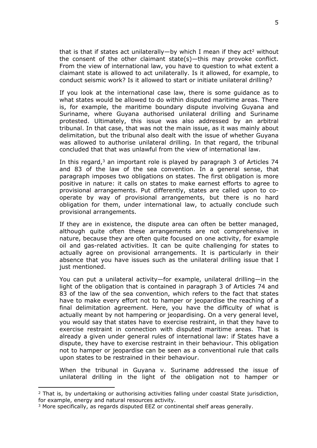that is that if states act unilaterally—by which I mean if they act<sup>2</sup> without the consent of the other claimant state(s)—this may provoke conflict. From the view of international law, you have to question to what extent a claimant state is allowed to act unilaterally. Is it allowed, for example, to conduct seismic work? Is it allowed to start or initiate unilateral drilling?

If you look at the international case law, there is some guidance as to what states would be allowed to do within disputed maritime areas. There is, for example, the maritime boundary dispute involving Guyana and Suriname, where Guyana authorised unilateral drilling and Suriname protested. Ultimately, this issue was also addressed by an arbitral tribunal. In that case, that was not the main issue, as it was mainly about delimitation, but the tribunal also dealt with the issue of whether Guyana was allowed to authorise unilateral drilling. In that regard, the tribunal concluded that that was unlawful from the view of international law.

In this regard, $3$  an important role is played by paragraph 3 of Articles 74 and 83 of the law of the sea convention. In a general sense, that paragraph imposes two obligations on states. The first obligation is more positive in nature: it calls on states to make earnest efforts to agree to provisional arrangements. Put differently, states are called upon to cooperate by way of provisional arrangements, but there is no hard obligation for them, under international law, to actually conclude such provisional arrangements.

If they are in existence, the dispute area can often be better managed, although quite often these arrangements are not comprehensive in nature, because they are often quite focused on one activity, for example oil and gas-related activities. It can be quite challenging for states to actually agree on provisional arrangements. It is particularly in their absence that you have issues such as the unilateral drilling issue that I just mentioned.

You can put a unilateral activity—for example, unilateral drilling—in the light of the obligation that is contained in paragraph 3 of Articles 74 and 83 of the law of the sea convention, which refers to the fact that states have to make every effort not to hamper or jeopardise the reaching of a final delimitation agreement. Here, you have the difficulty of what is actually meant by not hampering or jeopardising. On a very general level, you would say that states have to exercise restraint, in that they have to exercise restraint in connection with disputed maritime areas. That is already a given under general rules of international law: if States have a dispute, they have to exercise restraint in their behaviour. This obligation not to hamper or jeopardise can be seen as a conventional rule that calls upon states to be restrained in their behaviour.

When the tribunal in Guyana v. Suriname addressed the issue of unilateral drilling in the light of the obligation not to hamper or

 $2$  That is, by undertaking or authorising activities falling under coastal State jurisdiction, for example, energy and natural resources activity.

<sup>&</sup>lt;sup>3</sup> More specifically, as regards disputed EEZ or continental shelf areas generally.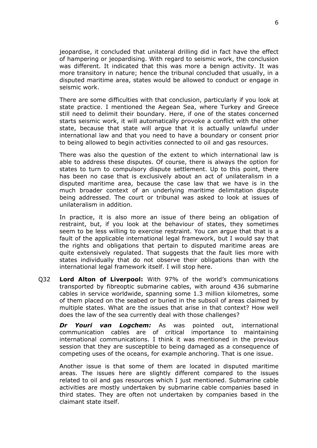jeopardise, it concluded that unilateral drilling did in fact have the effect of hampering or jeopardising. With regard to seismic work, the conclusion was different. It indicated that this was more a benign activity. It was more transitory in nature; hence the tribunal concluded that usually, in a disputed maritime area, states would be allowed to conduct or engage in seismic work.

There are some difficulties with that conclusion, particularly if you look at state practice. I mentioned the Aegean Sea, where Turkey and Greece still need to delimit their boundary. Here, if one of the states concerned starts seismic work, it will automatically provoke a conflict with the other state, because that state will argue that it is actually unlawful under international law and that you need to have a boundary or consent prior to being allowed to begin activities connected to oil and gas resources.

There was also the question of the extent to which international law is able to address these disputes. Of course, there is always the option for states to turn to compulsory dispute settlement. Up to this point, there has been no case that is exclusively about an act of unilateralism in a disputed maritime area, because the case law that we have is in the much broader context of an underlying maritime delimitation dispute being addressed. The court or tribunal was asked to look at issues of unilateralism in addition.

In practice, it is also more an issue of there being an obligation of restraint, but, if you look at the behaviour of states, they sometimes seem to be less willing to exercise restraint. You can argue that that is a fault of the applicable international legal framework, but I would say that the rights and obligations that pertain to disputed maritime areas are quite extensively regulated. That suggests that the fault lies more with states individually that do not observe their obligations than with the international legal framework itself. I will stop here.

Q32 **Lord Alton of Liverpool:** With 97% of the world's communications transported by fibreoptic submarine cables, with around 436 submarine cables in service worldwide, spanning some 1.3 million kilometres, some of them placed on the seabed or buried in the subsoil of areas claimed by multiple states. What are the issues that arise in that context? How well does the law of the sea currently deal with those challenges?

*Dr Youri van Logchem:* As was pointed out, international communication cables are of critical importance to maintaining international communications. I think it was mentioned in the previous session that they are susceptible to being damaged as a consequence of competing uses of the oceans, for example anchoring. That is one issue.

Another issue is that some of them are located in disputed maritime areas. The issues here are slightly different compared to the issues related to oil and gas resources which I just mentioned. Submarine cable activities are mostly undertaken by submarine cable companies based in third states. They are often not undertaken by companies based in the claimant state itself.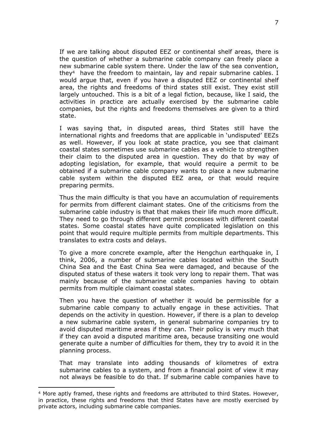If we are talking about disputed EEZ or continental shelf areas, there is the question of whether a submarine cable company can freely place a new submarine cable system there. Under the law of the sea convention, they<sup>4</sup> have the freedom to maintain, lay and repair submarine cables. I would argue that, even if you have a disputed EEZ or continental shelf area, the rights and freedoms of third states still exist. They exist still largely untouched. This is a bit of a legal fiction, because, like I said, the activities in practice are actually exercised by the submarine cable companies, but the rights and freedoms themselves are given to a third state.

I was saying that, in disputed areas, third States still have the international rights and freedoms that are applicable in 'undisputed' EEZs as well. However, if you look at state practice, you see that claimant coastal states sometimes use submarine cables as a vehicle to strengthen their claim to the disputed area in question. They do that by way of adopting legislation, for example, that would require a permit to be obtained if a submarine cable company wants to place a new submarine cable system within the disputed EEZ area, or that would require preparing permits.

Thus the main difficulty is that you have an accumulation of requirements for permits from different claimant states. One of the criticisms from the submarine cable industry is that that makes their life much more difficult. They need to go through different permit processes with different coastal states. Some coastal states have quite complicated legislation on this point that would require multiple permits from multiple departments. This translates to extra costs and delays.

To give a more concrete example, after the Hengchun earthquake in, I think, 2006, a number of submarine cables located within the South China Sea and the East China Sea were damaged, and because of the disputed status of these waters it took very long to repair them. That was mainly because of the submarine cable companies having to obtain permits from multiple claimant coastal states.

Then you have the question of whether it would be permissible for a submarine cable company to actually engage in these activities. That depends on the activity in question. However, if there is a plan to develop a new submarine cable system, in general submarine companies try to avoid disputed maritime areas if they can. Their policy is very much that if they can avoid a disputed maritime area, because transiting one would generate quite a number of difficulties for them, they try to avoid it in the planning process.

That may translate into adding thousands of kilometres of extra submarine cables to a system, and from a financial point of view it may not always be feasible to do that. If submarine cable companies have to

<sup>4</sup> More aptly framed, these rights and freedoms are attributed to third States. However, in practice, these rights and freedoms that third States have are mostly exercised by private actors, including submarine cable companies.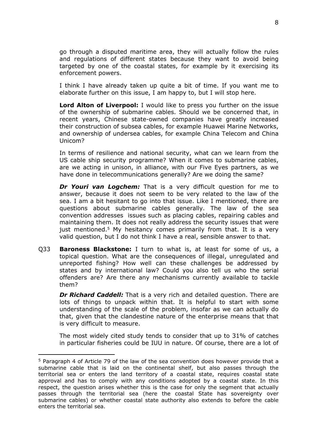go through a disputed maritime area, they will actually follow the rules and regulations of different states because they want to avoid being targeted by one of the coastal states, for example by it exercising its enforcement powers.

I think I have already taken up quite a bit of time. If you want me to elaborate further on this issue, I am happy to, but I will stop here.

**Lord Alton of Liverpool:** I would like to press you further on the issue of the ownership of submarine cables. Should we be concerned that, in recent years, Chinese state-owned companies have greatly increased their construction of subsea cables, for example Huawei Marine Networks, and ownership of undersea cables, for example China Telecom and China Unicom?

In terms of resilience and national security, what can we learn from the US cable ship security programme? When it comes to submarine cables, are we acting in unison, in alliance, with our Five Eyes partners, as we have done in telecommunications generally? Are we doing the same?

*Dr Youri van Logchem:* That is a very difficult question for me to answer, because it does not seem to be very related to the law of the sea. I am a bit hesitant to go into that issue. Like I mentioned, there are questions about submarine cables generally. The law of the sea convention addresses issues such as placing cables, repairing cables and maintaining them. It does not really address the security issues that were just mentioned.<sup>5</sup> My hesitancy comes primarily from that. It is a very valid question, but I do not think I have a real, sensible answer to that.

Q33 **Baroness Blackstone:** I turn to what is, at least for some of us, a topical question. What are the consequences of illegal, unregulated and unreported fishing? How well can these challenges be addressed by states and by international law? Could you also tell us who the serial offenders are? Are there any mechanisms currently available to tackle them?

*Dr Richard Caddell:* That is a very rich and detailed question. There are lots of things to unpack within that. It is helpful to start with some understanding of the scale of the problem, insofar as we can actually do that, given that the clandestine nature of the enterprise means that that is very difficult to measure.

The most widely cited study tends to consider that up to 31% of catches in particular fisheries could be IUU in nature. Of course, there are a lot of

<sup>5</sup> Paragraph 4 of Article 79 of the law of the sea convention does however provide that a submarine cable that is laid on the continental shelf, but also passes through the territorial sea or enters the land territory of a coastal state, requires coastal state approval and has to comply with any conditions adopted by a coastal state. In this respect, the question arises whether this is the case for only the segment that actually passes through the territorial sea (here the coastal State has sovereignty over submarine cables) or whether coastal state authority also extends to before the cable enters the territorial sea.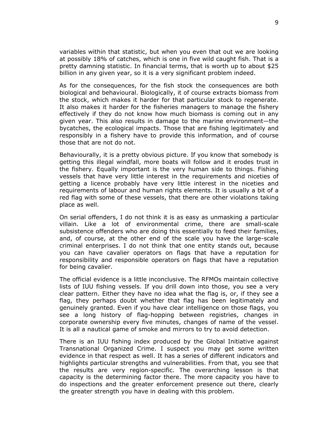variables within that statistic, but when you even that out we are looking at possibly 18% of catches, which is one in five wild caught fish. That is a pretty damning statistic. In financial terms, that is worth up to about \$25 billion in any given year, so it is a very significant problem indeed.

As for the consequences, for the fish stock the consequences are both biological and behavioural. Biologically, it of course extracts biomass from the stock, which makes it harder for that particular stock to regenerate. It also makes it harder for the fisheries managers to manage the fishery effectively if they do not know how much biomass is coming out in any given year. This also results in damage to the marine environment—the bycatches, the ecological impacts. Those that are fishing legitimately and responsibly in a fishery have to provide this information, and of course those that are not do not.

Behaviourally, it is a pretty obvious picture. If you know that somebody is getting this illegal windfall, more boats will follow and it erodes trust in the fishery. Equally important is the very human side to things. Fishing vessels that have very little interest in the requirements and niceties of getting a licence probably have very little interest in the niceties and requirements of labour and human rights elements. It is usually a bit of a red flag with some of these vessels, that there are other violations taking place as well.

On serial offenders, I do not think it is as easy as unmasking a particular villain. Like a lot of environmental crime, there are small-scale subsistence offenders who are doing this essentially to feed their families, and, of course, at the other end of the scale you have the large-scale criminal enterprises. I do not think that one entity stands out, because you can have cavalier operators on flags that have a reputation for responsibility and responsible operators on flags that have a reputation for being cavalier.

The official evidence is a little inconclusive. The RFMOs maintain collective lists of IUU fishing vessels. If you drill down into those, you see a very clear pattern. Either they have no idea what the flag is, or, if they see a flag, they perhaps doubt whether that flag has been legitimately and genuinely granted. Even if you have clear intelligence on those flags, you see a long history of flag-hopping between registries, changes in corporate ownership every five minutes, changes of name of the vessel. It is all a nautical game of smoke and mirrors to try to avoid detection.

There is an IUU fishing index produced by the Global Initiative against Transnational Organized Crime. I suspect you may get some written evidence in that respect as well. It has a series of different indicators and highlights particular strengths and vulnerabilities. From that, you see that the results are very region-specific. The overarching lesson is that capacity is the determining factor there. The more capacity you have to do inspections and the greater enforcement presence out there, clearly the greater strength you have in dealing with this problem.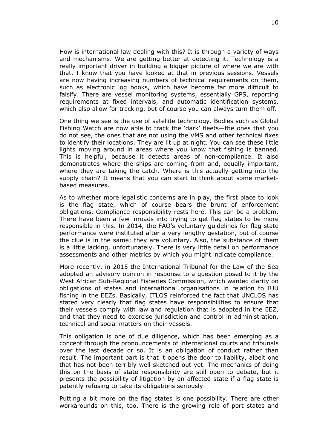How is international law dealing with this? It is through a variety of ways and mechanisms. We are getting better at detecting it. Technology is a really important driver in building a bigger picture of where we are with that. I know that you have looked at that in previous sessions. Vessels are now having increasing numbers of technical requirements on them, such as electronic log books, which have become far more difficult to falsify. There are vessel monitoring systems, essentially GPS, reporting requirements at fixed intervals, and automatic identification systems, which also allow for tracking, but of course you can always turn them off.

One thing we see is the use of satellite technology. Bodies such as Global Fishing Watch are now able to track the 'dark' fleets—the ones that you do not see, the ones that are not using the VMS and other technical fixes to identify their locations. They are lit up at night. You can see these little lights moving around in areas where you know that fishing is banned. This is helpful, because it detects areas of non-compliance. It also demonstrates where the ships are coming from and, equally important, where they are taking the catch. Where is this actually getting into the supply chain? It means that you can start to think about some marketbased measures.

As to whether more legalistic concerns are in play, the first place to look is the flag state, which of course bears the brunt of enforcement obligations. Compliance responsibility rests here. This can be a problem. There have been a few inroads into trying to get flag states to be more responsible in this. In 2014, the FAO's voluntary guidelines for flag state performance were instituted after a very lengthy gestation, but of course the clue is in the same: they are voluntary. Also, the substance of them is a little lacking, unfortunately. There is very little detail on performance assessments and other metrics by which you might indicate compliance.

More recently, in 2015 the International Tribunal for the Law of the Sea adopted an advisory opinion in response to a question posed to it by the West African Sub-Regional Fisheries Commission, which wanted clarity on obligations of states and international organisations in relation to IUU fishing in the EEZs. Basically, ITLOS reinforced the fact that UNCLOS has stated very clearly that flag states have responsibilities to ensure that their vessels comply with law and regulation that is adopted in the EEZ, and that they need to exercise jurisdiction and control in administration, technical and social matters on their vessels.

This obligation is one of due diligence, which has been emerging as a concept through the pronouncements of international courts and tribunals over the last decade or so. It is an obligation of conduct rather than result. The important part is that it opens the door to liability, albeit one that has not been terribly well sketched out yet. The mechanics of doing this on the basis of state responsibility are still open to debate, but it presents the possibility of litigation by an affected state if a flag state is patently refusing to take its obligations seriously.

Putting a bit more on the flag states is one possibility. There are other workarounds on this, too. There is the growing role of port states and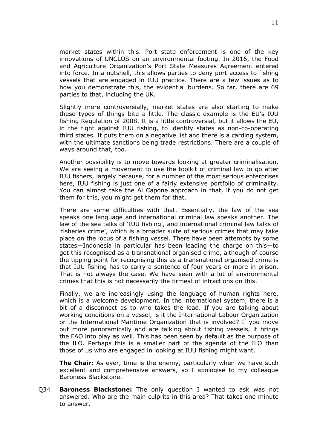market states within this. Port state enforcement is one of the key innovations of UNCLOS on an environmental footing. In 2016, the Food and Agriculture Organization's Port State Measures Agreement entered into force. In a nutshell, this allows parties to deny port access to fishing vessels that are engaged in IUU practice. There are a few issues as to how you demonstrate this, the evidential burdens. So far, there are 69 parties to that, including the UK.

Slightly more controversially, market states are also starting to make these types of things bite a little. The classic example is the EU's IUU fishing Regulation of 2008. It is a little controversial, but it allows the EU, in the fight against IUU fishing, to identify states as non-co-operating third states. It puts them on a negative list and there is a carding system, with the ultimate sanctions being trade restrictions. There are a couple of ways around that, too.

Another possibility is to move towards looking at greater criminalisation. We are seeing a movement to use the toolkit of criminal law to go after IUU fishers, largely because, for a number of the most serious enterprises here, IUU fishing is just one of a fairly extensive portfolio of criminality. You can almost take the Al Capone approach in that, if you do not get them for this, you might get them for that.

There are some difficulties with that. Essentially, the law of the sea speaks one language and international criminal law speaks another. The law of the sea talks of 'IUU fishing', and international criminal law talks of 'fisheries crime', which is a broader suite of serious crimes that may take place on the locus of a fishing vessel. There have been attempts by some states—Indonesia in particular has been leading the charge on this—to get this recognised as a transnational organised crime, although of course the tipping point for recognising this as a transnational organised crime is that IUU fishing has to carry a sentence of four years or more in prison. That is not always the case. We have seen with a lot of environmental crimes that this is not necessarily the firmest of infractions on this.

Finally, we are increasingly using the language of human rights here, which is a welcome development. In the international system, there is a bit of a disconnect as to who takes the lead. If you are talking about working conditions on a vessel, is it the International Labour Organization or the International Maritime Organization that is involved? If you move out more panoramically and are talking about fishing vessels, it brings the FAO into play as well. This has been seen by default as the purpose of the ILO. Perhaps this is a smaller part of the agenda of the ILO than those of us who are engaged in looking at IUU fishing might want.

**The Chair:** As ever, time is the enemy, particularly when we have such excellent and comprehensive answers, so I apologise to my colleague Baroness Blackstone.

Q34 **Baroness Blackstone:** The only question I wanted to ask was not answered. Who are the main culprits in this area? That takes one minute to answer.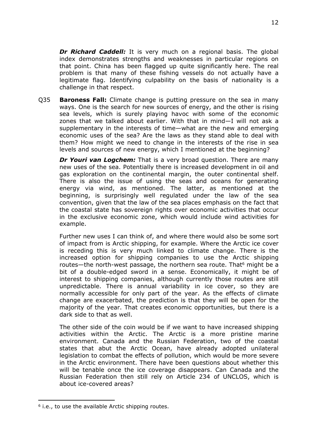*Dr Richard Caddell:* It is very much on a regional basis. The global index demonstrates strengths and weaknesses in particular regions on that point. China has been flagged up quite significantly here. The real problem is that many of these fishing vessels do not actually have a legitimate flag. Identifying culpability on the basis of nationality is a challenge in that respect.

Q35 **Baroness Fall:** Climate change is putting pressure on the sea in many ways. One is the search for new sources of energy, and the other is rising sea levels, which is surely playing havoc with some of the economic zones that we talked about earlier. With that in mind—I will not ask a supplementary in the interests of time—what are the new and emerging economic uses of the sea? Are the laws as they stand able to deal with them? How might we need to change in the interests of the rise in sea levels and sources of new energy, which I mentioned at the beginning?

*Dr Youri van Logchem:* That is a very broad question. There are many new uses of the sea. Potentially there is increased development in oil and gas exploration on the continental margin, the outer continental shelf. There is also the issue of using the seas and oceans for generating energy via wind, as mentioned. The latter, as mentioned at the beginning, is surprisingly well regulated under the law of the sea convention, given that the law of the sea places emphasis on the fact that the coastal state has sovereign rights over economic activities that occur in the exclusive economic zone, which would include wind activities for example.

Further new uses I can think of, and where there would also be some sort of impact from is Arctic shipping, for example. Where the Arctic ice cover is receding this is very much linked to climate change. There is the increased option for shipping companies to use the Arctic shipping routes—the north-west passage, the northern sea route. That<sup>6</sup> might be a bit of a double-edged sword in a sense. Economically, it might be of interest to shipping companies, although currently those routes are still unpredictable. There is annual variability in ice cover, so they are normally accessible for only part of the year. As the effects of climate change are exacerbated, the prediction is that they will be open for the majority of the year. That creates economic opportunities, but there is a dark side to that as well.

The other side of the coin would be if we want to have increased shipping activities within the Arctic. The Arctic is a more pristine marine environment. Canada and the Russian Federation, two of the coastal states that abut the Arctic Ocean, have already adopted unilateral legislation to combat the effects of pollution, which would be more severe in the Arctic environment. There have been questions about whether this will be tenable once the ice coverage disappears. Can Canada and the Russian Federation then still rely on Article 234 of UNCLOS, which is about ice-covered areas?

 $6$  i.e., to use the available Arctic shipping routes.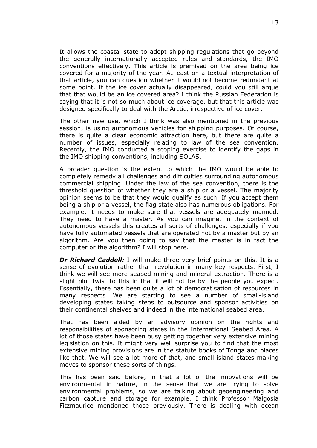It allows the coastal state to adopt shipping regulations that go beyond the generally internationally accepted rules and standards, the IMO conventions effectively. This article is premised on the area being ice covered for a majority of the year. At least on a textual interpretation of that article, you can question whether it would not become redundant at some point. If the ice cover actually disappeared, could you still argue that that would be an ice covered area? I think the Russian Federation is saying that it is not so much about ice coverage, but that this article was designed specifically to deal with the Arctic, irrespective of ice cover.

The other new use, which I think was also mentioned in the previous session, is using autonomous vehicles for shipping purposes. Of course, there is quite a clear economic attraction here, but there are quite a number of issues, especially relating to law of the sea convention. Recently, the IMO conducted a scoping exercise to identify the gaps in the IMO shipping conventions, including SOLAS.

A broader question is the extent to which the IMO would be able to completely remedy all challenges and difficulties surrounding autonomous commercial shipping. Under the law of the sea convention, there is the threshold question of whether they are a ship or a vessel. The majority opinion seems to be that they would qualify as such. If you accept them being a ship or a vessel, the flag state also has numerous obligations. For example, it needs to make sure that vessels are adequately manned. They need to have a master. As you can imagine, in the context of autonomous vessels this creates all sorts of challenges, especially if you have fully automated vessels that are operated not by a master but by an algorithm. Are you then going to say that the master is in fact the computer or the algorithm? I will stop here.

*Dr Richard Caddell:* I will make three very brief points on this. It is a sense of evolution rather than revolution in many key respects. First, I think we will see more seabed mining and mineral extraction. There is a slight plot twist to this in that it will not be by the people you expect. Essentially, there has been quite a lot of democratisation of resources in many respects. We are starting to see a number of small-island developing states taking steps to outsource and sponsor activities on their continental shelves and indeed in the international seabed area.

That has been aided by an advisory opinion on the rights and responsibilities of sponsoring states in the International Seabed Area. A lot of those states have been busy getting together very extensive mining legislation on this. It might very well surprise you to find that the most extensive mining provisions are in the statute books of Tonga and places like that. We will see a lot more of that, and small island states making moves to sponsor these sorts of things.

This has been said before, in that a lot of the innovations will be environmental in nature, in the sense that we are trying to solve environmental problems, so we are talking about geoengineering and carbon capture and storage for example. I think Professor Malgosia Fitzmaurice mentioned those previously. There is dealing with ocean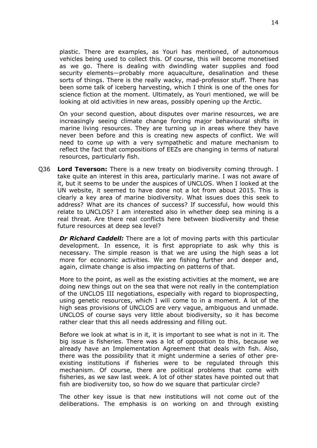plastic. There are examples, as Youri has mentioned, of autonomous vehicles being used to collect this. Of course, this will become monetised as we go. There is dealing with dwindling water supplies and food security elements—probably more aquaculture, desalination and these sorts of things. There is the really wacky, mad-professor stuff. There has been some talk of iceberg harvesting, which I think is one of the ones for science fiction at the moment. Ultimately, as Youri mentioned, we will be looking at old activities in new areas, possibly opening up the Arctic.

On your second question, about disputes over marine resources, we are increasingly seeing climate change forcing major behavioural shifts in marine living resources. They are turning up in areas where they have never been before and this is creating new aspects of conflict. We will need to come up with a very sympathetic and mature mechanism to reflect the fact that compositions of EEZs are changing in terms of natural resources, particularly fish.

Q36 **Lord Teverson:** There is a new treaty on biodiversity coming through. I take quite an interest in this area, particularly marine. I was not aware of it, but it seems to be under the auspices of UNCLOS. When I looked at the UN website, it seemed to have done not a lot from about 2015. This is clearly a key area of marine biodiversity. What issues does this seek to address? What are its chances of success? If successful, how would this relate to UNCLOS? I am interested also in whether deep sea mining is a real threat. Are there real conflicts here between biodiversity and these future resources at deep sea level?

*Dr Richard Caddell:* There are a lot of moving parts with this particular development. In essence, it is first appropriate to ask why this is necessary. The simple reason is that we are using the high seas a lot more for economic activities. We are fishing further and deeper and, again, climate change is also impacting on patterns of that.

More to the point, as well as the existing activities at the moment, we are doing new things out on the sea that were not really in the contemplation of the UNCLOS III negotiations, especially with regard to bioprospecting, using genetic resources, which I will come to in a moment. A lot of the high seas provisions of UNCLOS are very vague, ambiguous and unmade. UNCLOS of course says very little about biodiversity, so it has become rather clear that this all needs addressing and filling out.

Before we look at what is in it, it is important to see what is not in it. The big issue is fisheries. There was a lot of opposition to this, because we already have an Implementation Agreement that deals with fish. Also, there was the possibility that it might undermine a series of other preexisting institutions if fisheries were to be regulated through this mechanism. Of course, there are political problems that come with fisheries, as we saw last week. A lot of other states have pointed out that fish are biodiversity too, so how do we square that particular circle?

The other key issue is that new institutions will not come out of the deliberations. The emphasis is on working on and through existing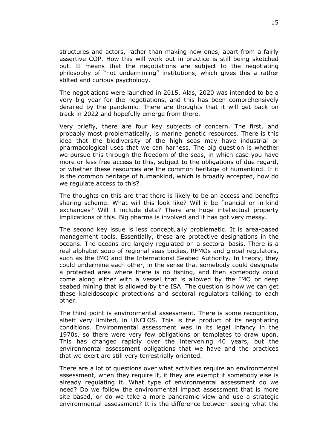structures and actors, rather than making new ones, apart from a fairly assertive COP. How this will work out in practice is still being sketched out. It means that the negotiations are subject to the negotiating philosophy of "not undermining" institutions, which gives this a rather stilted and curious psychology.

The negotiations were launched in 2015. Alas, 2020 was intended to be a very big year for the negotiations, and this has been comprehensively derailed by the pandemic. There are thoughts that it will get back on track in 2022 and hopefully emerge from there.

Very briefly, there are four key subjects of concern. The first, and probably most problematically, is marine genetic resources. There is this idea that the biodiversity of the high seas may have industrial or pharmacological uses that we can harness. The big question is whether we pursue this through the freedom of the seas, in which case you have more or less free access to this, subject to the obligations of due regard, or whether these resources are the common heritage of humankind. If it is the common heritage of humankind, which is broadly accepted, how do we regulate access to this?

The thoughts on this are that there is likely to be an access and benefits sharing scheme. What will this look like? Will it be financial or in-kind exchanges? Will it include data? There are huge intellectual property implications of this. Big pharma is involved and it has got very messy.

The second key issue is less conceptually problematic. It is area-based management tools. Essentially, these are protective designations in the oceans. The oceans are largely regulated on a sectoral basis. There is a real alphabet soup of regional seas bodies, RFMOs and global regulators, such as the IMO and the International Seabed Authority. In theory, they could undermine each other, in the sense that somebody could designate a protected area where there is no fishing, and then somebody could come along either with a vessel that is allowed by the IMO or deep seabed mining that is allowed by the ISA. The question is how we can get these kaleidoscopic protections and sectoral regulators talking to each other.

The third point is environmental assessment. There is some recognition, albeit very limited, in UNCLOS. This is the product of its negotiating conditions. Environmental assessment was in its legal infancy in the 1970s, so there were very few obligations or templates to draw upon. This has changed rapidly over the intervening 40 years, but the environmental assessment obligations that we have and the practices that we exert are still very terrestrially oriented.

There are a lot of questions over what activities require an environmental assessment, when they require it, if they are exempt if somebody else is already regulating it. What type of environmental assessment do we need? Do we follow the environmental impact assessment that is more site based, or do we take a more panoramic view and use a strategic environmental assessment? It is the difference between seeing what the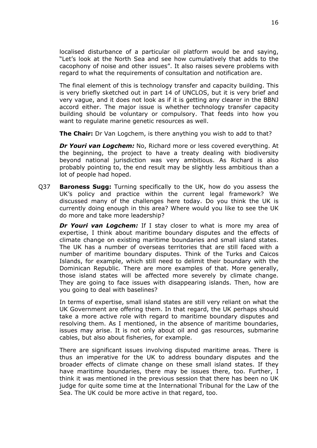localised disturbance of a particular oil platform would be and saying, "Let's look at the North Sea and see how cumulatively that adds to the cacophony of noise and other issues". It also raises severe problems with regard to what the requirements of consultation and notification are.

The final element of this is technology transfer and capacity building. This is very briefly sketched out in part 14 of UNCLOS, but it is very brief and very vague, and it does not look as if it is getting any clearer in the BBNJ accord either. The major issue is whether technology transfer capacity building should be voluntary or compulsory. That feeds into how you want to regulate marine genetic resources as well.

**The Chair:** Dr Van Logchem, is there anything you wish to add to that?

*Dr Youri van Logchem:* No, Richard more or less covered everything. At the beginning, the project to have a treaty dealing with biodiversity beyond national jurisdiction was very ambitious. As Richard is also probably pointing to, the end result may be slightly less ambitious than a lot of people had hoped.

Q37 **Baroness Sugg:** Turning specifically to the UK, how do you assess the UK's policy and practice within the current legal framework? We discussed many of the challenges here today. Do you think the UK is currently doing enough in this area? Where would you like to see the UK do more and take more leadership?

*Dr Youri van Logchem:* If I stay closer to what is more my area of expertise, I think about maritime boundary disputes and the effects of climate change on existing maritime boundaries and small island states. The UK has a number of overseas territories that are still faced with a number of maritime boundary disputes. Think of the Turks and Caicos Islands, for example, which still need to delimit their boundary with the Dominican Republic. There are more examples of that. More generally, those island states will be affected more severely by climate change. They are going to face issues with disappearing islands. Then, how are you going to deal with baselines?

In terms of expertise, small island states are still very reliant on what the UK Government are offering them. In that regard, the UK perhaps should take a more active role with regard to maritime boundary disputes and resolving them. As I mentioned, in the absence of maritime boundaries, issues may arise. It is not only about oil and gas resources, submarine cables, but also about fisheries, for example.

There are significant issues involving disputed maritime areas. There is thus an imperative for the UK to address boundary disputes and the broader effects of climate change on these small island states. If they have maritime boundaries, there may be issues there, too. Further, I think it was mentioned in the previous session that there has been no UK judge for quite some time at the International Tribunal for the Law of the Sea. The UK could be more active in that regard, too.